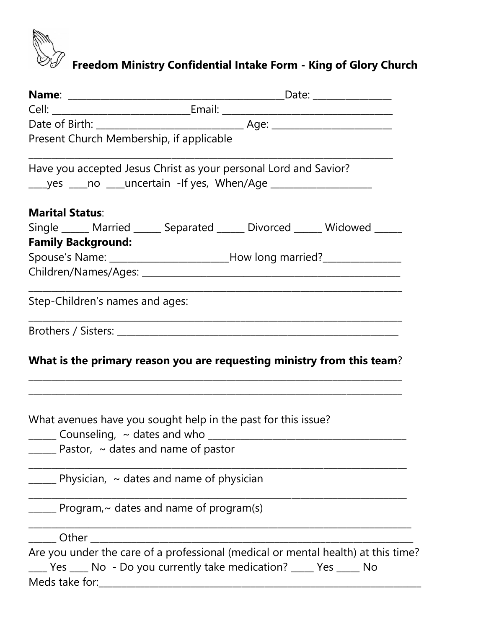

## **Freedom Ministry Confidential Intake Form - King of Glory Church**

| Present Church Membership, if applicable                                                                                                             |                                                                                  |  |                                                                                   |  |  |  |
|------------------------------------------------------------------------------------------------------------------------------------------------------|----------------------------------------------------------------------------------|--|-----------------------------------------------------------------------------------|--|--|--|
| Have you accepted Jesus Christ as your personal Lord and Savior?<br>______yes _____no _____uncertain -If yes, When/Age _____________________________ |                                                                                  |  |                                                                                   |  |  |  |
| <b>Marital Status:</b>                                                                                                                               |                                                                                  |  |                                                                                   |  |  |  |
| Single ______ Married ______ Separated ______ Divorced ______ Widowed _____                                                                          |                                                                                  |  |                                                                                   |  |  |  |
| <b>Family Background:</b>                                                                                                                            |                                                                                  |  |                                                                                   |  |  |  |
|                                                                                                                                                      | Spouse's Name: ________________________________How long married?________________ |  |                                                                                   |  |  |  |
|                                                                                                                                                      |                                                                                  |  |                                                                                   |  |  |  |
| Step-Children's names and ages:                                                                                                                      |                                                                                  |  |                                                                                   |  |  |  |
| What is the primary reason you are requesting ministry from this team?                                                                               |                                                                                  |  |                                                                                   |  |  |  |
| What avenues have you sought help in the past for this issue?                                                                                        | Pastor, $\sim$ dates and name of pastor                                          |  |                                                                                   |  |  |  |
|                                                                                                                                                      | $\mu$ Physician, $\sim$ dates and name of physician                              |  |                                                                                   |  |  |  |
|                                                                                                                                                      | $\mu$ Program, $\sim$ dates and name of program(s)                               |  |                                                                                   |  |  |  |
| Other                                                                                                                                                |                                                                                  |  |                                                                                   |  |  |  |
| ____ Yes ____ No - Do you currently take medication? _____ Yes _____ No<br>Meds take for:                                                            |                                                                                  |  | Are you under the care of a professional (medical or mental health) at this time? |  |  |  |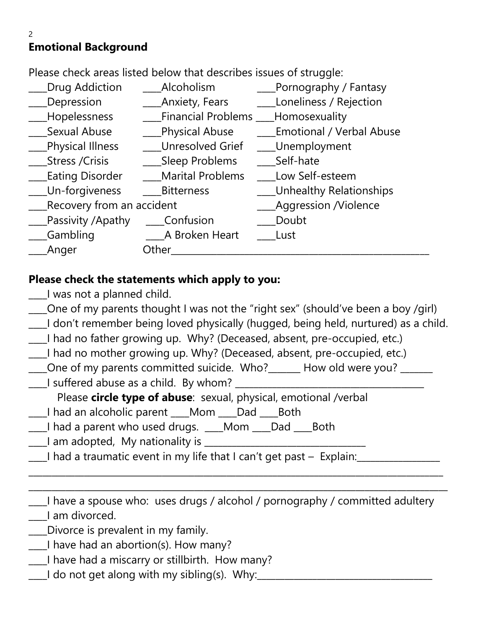# **Emotional Background**

Please check areas listed below that describes issues of struggle:

\_\_\_\_Drug Addiction \_\_\_\_Alcoholism \_\_\_\_Pornography / Fantasy \_\_\_\_Depression \_\_\_\_Anxiety, Fears \_\_\_\_Loneliness / Rejection \_\_\_\_Hopelessness \_\_\_\_Financial Problems \_\_\_\_Homosexuality Sexual Abuse **Elects** Physical Abuse **Emotional / Verbal Abuse** \_\_\_\_Physical Illness \_\_\_\_Unresolved Grief \_\_\_\_Unemployment \_\_\_Stress /Crisis \_\_\_\_\_\_\_\_Sleep Problems Eating Disorder **Marital Problems** Low Self-esteem \_\_\_\_Un-forgiveness \_\_\_\_Bitterness \_\_\_\_Unhealthy Relationships \_\_\_\_Recovery from an accident \_\_\_\_Aggression /Violence \_\_\_\_Passivity /Apathy \_\_\_\_Confusion \_\_\_\_Doubt \_\_\_\_Gambling \_\_\_\_A Broken Heart \_\_\_\_Lust Anger **Other** 

#### **Please check the statements which apply to you:**

- \_\_\_\_I was not a planned child.
- \_\_\_\_One of my parents thought I was not the "right sex" (should've been a boy /girl)
- \_\_\_\_I don't remember being loved physically (hugged, being held, nurtured) as a child.
- \_\_\_\_I had no father growing up. Why? (Deceased, absent, pre-occupied, etc.)
- \_\_\_\_I had no mother growing up. Why? (Deceased, absent, pre-occupied, etc.)
- \_\_\_\_One of my parents committed suicide. Who?\_\_\_\_\_\_\_ How old were you? \_\_\_\_\_\_\_
- \_\_\_\_I suffered abuse as a child. By whom? \_\_\_\_\_\_\_\_\_\_\_\_\_\_\_\_\_\_\_\_\_\_\_\_\_\_\_\_\_\_\_\_\_\_\_\_\_\_\_\_\_

Please **circle type of abuse**: sexual, physical, emotional /verbal

- \_\_\_\_I had an alcoholic parent \_\_\_\_Mom \_\_\_\_Dad \_\_\_\_Both
- I had a parent who used drugs. \_\_\_\_Mom \_\_\_\_Dad \_\_\_\_\_Both
- Lam adopted, My nationality is Latter Lamance and American setting and all  $\sim$
- \_\_\_\_I had a traumatic event in my life that I can't get past Explain:\_\_\_\_\_\_\_\_\_\_\_\_\_\_\_\_\_\_

\_\_\_\_I have a spouse who: uses drugs / alcohol / pornography / committed adultery \_\_\_\_I am divorced.

\_\_\_\_\_\_\_\_\_\_\_\_\_\_\_\_\_\_\_\_\_\_\_\_\_\_\_\_\_\_\_\_\_\_\_\_\_\_\_\_\_\_\_\_\_\_\_\_\_\_\_\_\_\_\_\_\_\_\_\_\_\_\_\_\_\_\_\_\_\_\_\_\_\_\_\_\_\_\_\_\_\_\_\_\_\_\_\_\_\_ \_\_\_\_\_\_\_\_\_\_\_\_\_\_\_\_\_\_\_\_\_\_\_\_\_\_\_\_\_\_\_\_\_\_\_\_\_\_\_\_\_\_\_\_\_\_\_\_\_\_\_\_\_\_\_\_\_\_\_\_\_\_\_\_\_\_\_\_\_\_\_\_\_\_\_\_\_\_\_\_\_\_\_\_\_\_\_\_\_\_\_

- \_\_\_\_Divorce is prevalent in my family.
- \_\_\_\_I have had an abortion(s). How many?
- \_\_\_\_I have had a miscarry or stillbirth. How many?
- $\Box$  do not get along with my sibling(s). Why: $\Box$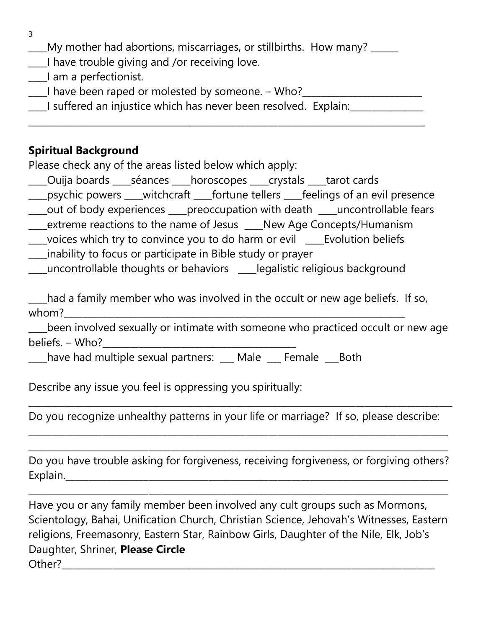3

- \_\_\_\_My mother had abortions, miscarriages, or stillbirths. How many? \_\_\_\_\_\_
- \_\_\_\_I have trouble giving and /or receiving love.
- \_\_\_\_I am a perfectionist.
- \_\_\_\_I have been raped or molested by someone. Who?\_\_\_\_\_\_\_\_\_\_\_\_\_\_\_\_\_\_\_\_\_\_\_\_\_\_
- \_\_\_\_I suffered an injustice which has never been resolved. Explain:\_\_\_\_\_\_\_\_\_\_\_\_\_\_\_\_

\_\_\_\_\_\_\_\_\_\_\_\_\_\_\_\_\_\_\_\_\_\_\_\_\_\_\_\_\_\_\_\_\_\_\_\_\_\_\_\_\_\_\_\_\_\_\_\_\_\_\_\_\_\_\_\_\_\_\_\_\_\_\_\_\_\_\_\_\_\_\_\_\_\_\_\_\_\_\_\_\_\_\_\_\_\_

#### **Spiritual Background**

Please check any of the areas listed below which apply:

- \_\_\_\_Ouija boards \_\_\_\_séances \_\_\_\_horoscopes \_\_\_\_crystals \_\_\_\_tarot cards
- \_\_\_\_psychic powers \_\_\_\_witchcraft \_\_\_\_fortune tellers \_\_\_\_feelings of an evil presence
- \_\_\_\_out of body experiences \_\_\_\_preoccupation with death \_\_\_\_uncontrollable fears
- \_\_\_\_extreme reactions to the name of Jesus \_\_\_\_New Age Concepts/Humanism
- \_\_\_\_voices which try to convince you to do harm or evil \_\_\_\_Evolution beliefs
- \_\_\_\_inability to focus or participate in Bible study or prayer
- \_\_\_\_uncontrollable thoughts or behaviors \_\_\_\_legalistic religious background

\_\_\_\_had a family member who was involved in the occult or new age beliefs. If so, whom?\_\_\_\_\_\_\_\_\_\_\_\_\_\_\_\_\_\_\_\_\_\_\_\_\_\_\_\_\_\_\_\_\_\_\_\_\_\_\_\_\_\_\_\_\_\_\_\_\_\_\_\_\_\_\_\_\_\_\_\_\_\_\_\_\_\_\_\_\_\_\_\_\_\_

been involved sexually or intimate with someone who practiced occult or new age beliefs. – Who?

\_\_\_\_have had multiple sexual partners: \_\_\_ Male \_\_\_ Female \_\_\_Both

Describe any issue you feel is oppressing you spiritually:

Do you recognize unhealthy patterns in your life or marriage? If so, please describe:

\_\_\_\_\_\_\_\_\_\_\_\_\_\_\_\_\_\_\_\_\_\_\_\_\_\_\_\_\_\_\_\_\_\_\_\_\_\_\_\_\_\_\_\_\_\_\_\_\_\_\_\_\_\_\_\_\_\_\_\_\_\_\_\_\_\_\_\_\_\_\_\_\_\_\_\_\_\_\_\_\_\_\_\_\_\_\_\_\_\_\_ \_\_\_\_\_\_\_\_\_\_\_\_\_\_\_\_\_\_\_\_\_\_\_\_\_\_\_\_\_\_\_\_\_\_\_\_\_\_\_\_\_\_\_\_\_\_\_\_\_\_\_\_\_\_\_\_\_\_\_\_\_\_\_\_\_\_\_\_\_\_\_\_\_\_\_\_\_\_\_\_\_\_\_\_\_\_\_\_\_\_\_

\_\_\_\_\_\_\_\_\_\_\_\_\_\_\_\_\_\_\_\_\_\_\_\_\_\_\_\_\_\_\_\_\_\_\_\_\_\_\_\_\_\_\_\_\_\_\_\_\_\_\_\_\_\_\_\_\_\_\_\_\_\_\_\_\_\_\_\_\_\_\_\_\_\_\_\_\_\_\_\_\_\_\_\_\_\_\_\_\_\_\_\_

Do you have trouble asking for forgiveness, receiving forgiveness, or forgiving others? Explain.

\_\_\_\_\_\_\_\_\_\_\_\_\_\_\_\_\_\_\_\_\_\_\_\_\_\_\_\_\_\_\_\_\_\_\_\_\_\_\_\_\_\_\_\_\_\_\_\_\_\_\_\_\_\_\_\_\_\_\_\_\_\_\_\_\_\_\_\_\_\_\_\_\_\_\_\_\_\_\_\_\_\_\_\_\_\_\_\_\_\_\_

Have you or any family member been involved any cult groups such as Mormons, Scientology, Bahai, Unification Church, Christian Science, Jehovah's Witnesses, Eastern religions, Freemasonry, Eastern Star, Rainbow Girls, Daughter of the Nile, Elk, Job's Daughter, Shriner, **Please Circle** Other?\_\_\_\_\_\_\_\_\_\_\_\_\_\_\_\_\_\_\_\_\_\_\_\_\_\_\_\_\_\_\_\_\_\_\_\_\_\_\_\_\_\_\_\_\_\_\_\_\_\_\_\_\_\_\_\_\_\_\_\_\_\_\_\_\_\_\_\_\_\_\_\_\_\_\_\_\_\_\_\_\_